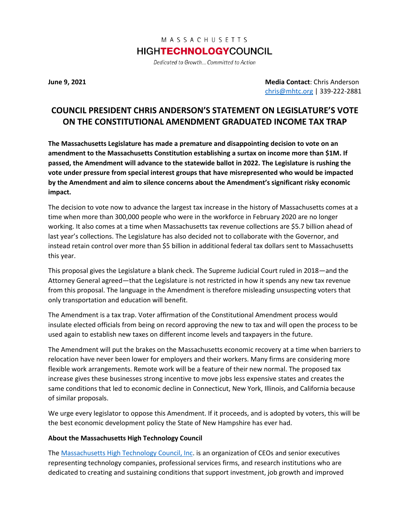## MASSACHUSETTS **HIGHTECHNOLOGYCOUNCIL**

Dedicated to Growth... Committed to Action

**June 9, 2021 Media Contact**: Chris Anderson [chris@mhtc.org](mailto:chris@mhtc.org) | 339-222-2881

## **COUNCIL PRESIDENT CHRIS ANDERSON'S STATEMENT ON LEGISLATURE'S VOTE ON THE CONSTITUTIONAL AMENDMENT GRADUATED INCOME TAX TRAP**

**The Massachusetts Legislature has made a premature and disappointing decision to vote on an amendment to the Massachusetts Constitution establishing a surtax on income more than \$1M. If passed, the Amendment will advance to the statewide ballot in 2022. The Legislature is rushing the vote under pressure from special interest groups that have misrepresented who would be impacted by the Amendment and aim to silence concerns about the Amendment's significant risky economic impact.** 

The decision to vote now to advance the largest tax increase in the history of Massachusetts comes at a time when more than 300,000 people who were in the workforce in February 2020 are no longer working. It also comes at a time when Massachusetts tax revenue collections are \$5.7 billion ahead of last year's collections. The Legislature has also decided not to collaborate with the Governor, and instead retain control over more than \$5 billion in additional federal tax dollars sent to Massachusetts this year.

This proposal gives the Legislature a blank check. The Supreme Judicial Court ruled in 2018—and the Attorney General agreed—that the Legislature is not restricted in how it spends any new tax revenue from this proposal. The language in the Amendment is therefore misleading unsuspecting voters that only transportation and education will benefit.

The Amendment is a tax trap. Voter affirmation of the Constitutional Amendment process would insulate elected officials from being on record approving the new to tax and will open the process to be used again to establish new taxes on different income levels and taxpayers in the future.

The Amendment will put the brakes on the Massachusetts economic recovery at a time when barriers to relocation have never been lower for employers and their workers. Many firms are considering more flexible work arrangements. Remote work will be a feature of their new normal. The proposed tax increase gives these businesses strong incentive to move jobs less expensive states and creates the same conditions that led to economic decline in Connecticut, New York, Illinois, and California because of similar proposals.

We urge every legislator to oppose this Amendment. If it proceeds, and is adopted by voters, this will be the best economic development policy the State of New Hampshire has ever had.

## **About the Massachusetts High Technology Council**

The [Massachusetts High Technology Council, Inc.](http://www.mhtc.org/) is an organization of CEOs and senior executives representing technology companies, professional services firms, and research institutions who are dedicated to creating and sustaining conditions that support investment, job growth and improved